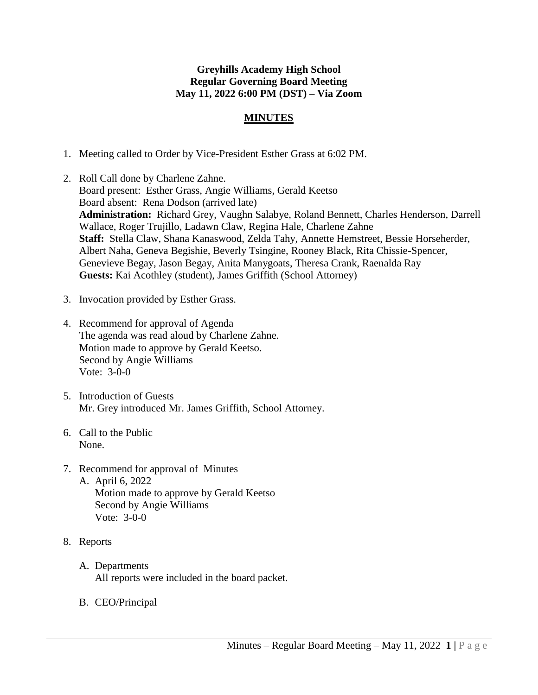## **Greyhills Academy High School Regular Governing Board Meeting May 11, 2022 6:00 PM (DST) – Via Zoom**

## **MINUTES**

- 1. Meeting called to Order by Vice-President Esther Grass at 6:02 PM.
- 2. Roll Call done by Charlene Zahne. Board present: Esther Grass, Angie Williams, Gerald Keetso Board absent: Rena Dodson (arrived late) **Administration:** Richard Grey, Vaughn Salabye, Roland Bennett, Charles Henderson, Darrell Wallace, Roger Trujillo, Ladawn Claw, Regina Hale, Charlene Zahne **Staff:** Stella Claw, Shana Kanaswood, Zelda Tahy, Annette Hemstreet, Bessie Horseherder, Albert Naha, Geneva Begishie, Beverly Tsingine, Rooney Black, Rita Chissie-Spencer, Genevieve Begay, Jason Begay, Anita Manygoats, Theresa Crank, Raenalda Ray **Guests:** Kai Acothley (student), James Griffith (School Attorney)
- 3. Invocation provided by Esther Grass.
- 4. Recommend for approval of Agenda The agenda was read aloud by Charlene Zahne. Motion made to approve by Gerald Keetso. Second by Angie Williams Vote: 3-0-0
- 5. Introduction of Guests Mr. Grey introduced Mr. James Griffith, School Attorney.
- 6. Call to the Public None.
- 7. Recommend for approval of Minutes A. April 6, 2022 Motion made to approve by Gerald Keetso Second by Angie Williams Vote: 3-0-0
- 8. Reports
	- A. Departments All reports were included in the board packet.
	- B. CEO/Principal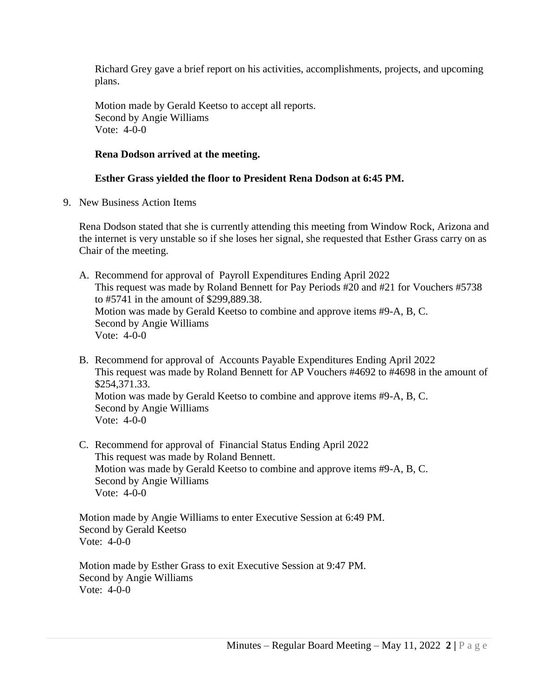Richard Grey gave a brief report on his activities, accomplishments, projects, and upcoming plans.

Motion made by Gerald Keetso to accept all reports. Second by Angie Williams Vote: 4-0-0

## **Rena Dodson arrived at the meeting.**

## **Esther Grass yielded the floor to President Rena Dodson at 6:45 PM.**

9. New Business Action Items

Rena Dodson stated that she is currently attending this meeting from Window Rock, Arizona and the internet is very unstable so if she loses her signal, she requested that Esther Grass carry on as Chair of the meeting.

A. Recommend for approval of Payroll Expenditures Ending April 2022 This request was made by Roland Bennett for Pay Periods #20 and #21 for Vouchers #5738 to #5741 in the amount of \$299,889.38. Motion was made by Gerald Keetso to combine and approve items #9-A, B, C. Second by Angie Williams Vote: 4-0-0

- B. Recommend for approval of Accounts Payable Expenditures Ending April 2022 This request was made by Roland Bennett for AP Vouchers #4692 to #4698 in the amount of \$254,371.33. Motion was made by Gerald Keetso to combine and approve items #9-A, B, C. Second by Angie Williams Vote: 4-0-0
- C. Recommend for approval of Financial Status Ending April 2022 This request was made by Roland Bennett. Motion was made by Gerald Keetso to combine and approve items #9-A, B, C. Second by Angie Williams Vote: 4-0-0

Motion made by Angie Williams to enter Executive Session at 6:49 PM. Second by Gerald Keetso Vote: 4-0-0

Motion made by Esther Grass to exit Executive Session at 9:47 PM. Second by Angie Williams Vote: 4-0-0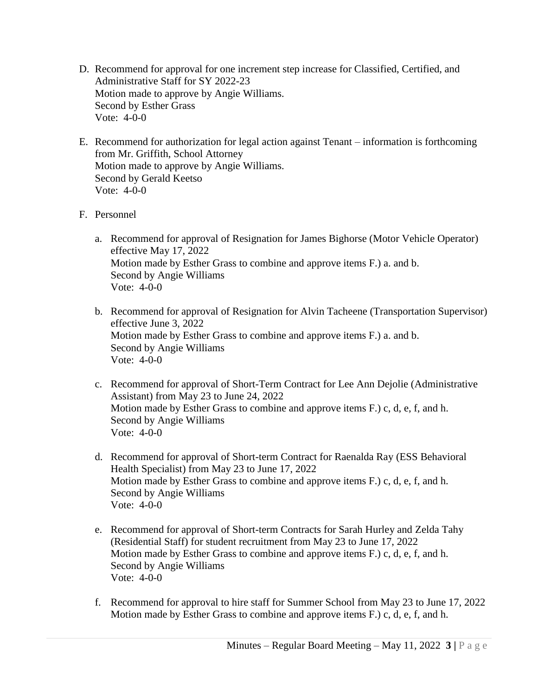- D. Recommend for approval for one increment step increase for Classified, Certified, and Administrative Staff for SY 2022-23 Motion made to approve by Angie Williams. Second by Esther Grass Vote: 4-0-0
- E. Recommend for authorization for legal action against Tenant information is forthcoming from Mr. Griffith, School Attorney Motion made to approve by Angie Williams. Second by Gerald Keetso Vote: 4-0-0
- F. Personnel
	- a. Recommend for approval of Resignation for James Bighorse (Motor Vehicle Operator) effective May 17, 2022 Motion made by Esther Grass to combine and approve items F.) a. and b. Second by Angie Williams Vote: 4-0-0
	- b. Recommend for approval of Resignation for Alvin Tacheene (Transportation Supervisor) effective June 3, 2022 Motion made by Esther Grass to combine and approve items F.) a. and b. Second by Angie Williams Vote: 4-0-0
	- c. Recommend for approval of Short-Term Contract for Lee Ann Dejolie (Administrative Assistant) from May 23 to June 24, 2022 Motion made by Esther Grass to combine and approve items F.) c, d, e, f, and h. Second by Angie Williams Vote: 4-0-0
	- d. Recommend for approval of Short-term Contract for Raenalda Ray (ESS Behavioral Health Specialist) from May 23 to June 17, 2022 Motion made by Esther Grass to combine and approve items F.) c, d, e, f, and h. Second by Angie Williams Vote: 4-0-0
	- e. Recommend for approval of Short-term Contracts for Sarah Hurley and Zelda Tahy (Residential Staff) for student recruitment from May 23 to June 17, 2022 Motion made by Esther Grass to combine and approve items F.) c, d, e, f, and h. Second by Angie Williams Vote: 4-0-0
	- f. Recommend for approval to hire staff for Summer School from May 23 to June 17, 2022 Motion made by Esther Grass to combine and approve items F.) c, d, e, f, and h.